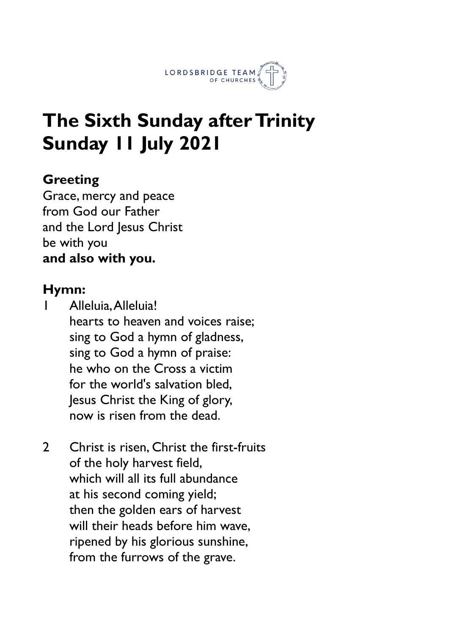

# **The Sixth Sunday after Trinity Sunday 11 July 2021**

## **Greeting**

Grace, mercy and peace from God our Father and the Lord Jesus Christ be with you **and also with you.**

#### **Hymn:**

- Alleluia, Alleluia! hearts to heaven and voices raise; sing to God a hymn of gladness, sing to God a hymn of praise: he who on the Cross a victim for the world's salvation bled, Jesus Christ the King of glory, now is risen from the dead.
- 2 Christ is risen, Christ the first-fruits of the holy harvest field, which will all its full abundance at his second coming yield; then the golden ears of harvest will their heads before him wave, ripened by his glorious sunshine, from the furrows of the grave.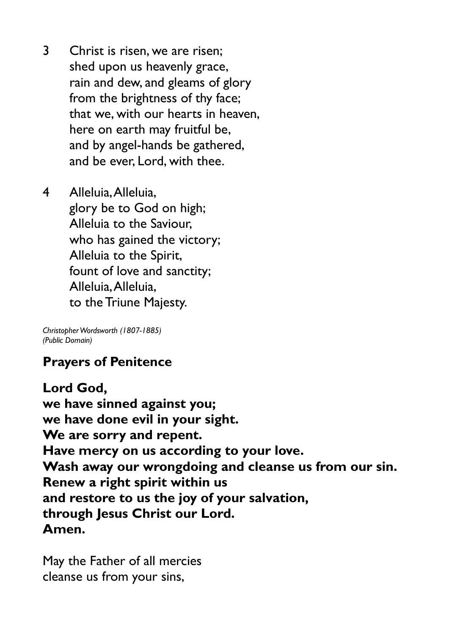- 3 Christ is risen, we are risen; shed upon us heavenly grace, rain and dew, and gleams of glory from the brightness of thy face; that we, with our hearts in heaven, here on earth may fruitful be, and by angel-hands be gathered, and be ever, Lord, with thee.
- 4 Alleluia, Alleluia, glory be to God on high; Alleluia to the Saviour, who has gained the victory; Alleluia to the Spirit, fount of love and sanctity; Alleluia, Alleluia, to the Triune Majesty.

*Christopher Wordsworth (1807-1885) (Public Domain)*

#### **Prayers of Penitence**

**Lord God, we have sinned against you; we have done evil in your sight. We are sorry and repent. Have mercy on us according to your love. Wash away our wrongdoing and cleanse us from our sin. Renew a right spirit within us and restore to us the joy of your salvation, through Jesus Christ our Lord. Amen.**

May the Father of all mercies cleanse us from your sins,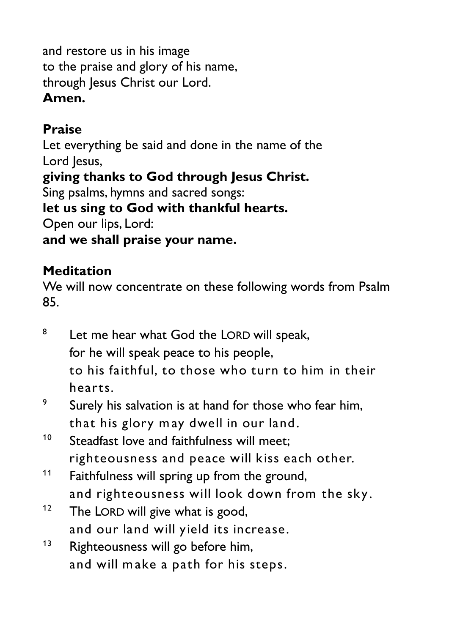and restore us in his image to the praise and glory of his name, through Jesus Christ our Lord. **Amen.**

# **Praise**

Let everything be said and done in the name of the Lord Jesus,

**giving thanks to God through Jesus Christ.**

Sing psalms, hymns and sacred songs:

**let us sing to God with thankful hearts.**

Open our lips, Lord:

**and we shall praise your name.**

# **Meditation**

We will now concentrate on these following words from Psalm 85.

- <sup>8</sup> Let me hear what God the LORD will speak, for he will speak peace to his people, to his faithful, to those who turn to him in their hearts.
- 9 Surely his salvation is at hand for those who fear him, that his glory m ay dwell in our land.
- <sup>10</sup> Steadfast love and faithfulness will meet; righteousness and peace will kiss each other.
- $11$  Faithfulness will spring up from the ground, and righteousness will look down from the sky .
- $12$  The LORD will give what is good, and our land will yield its increase.
- <sup>13</sup> Righteousness will go before him, and will m ake a path for his steps.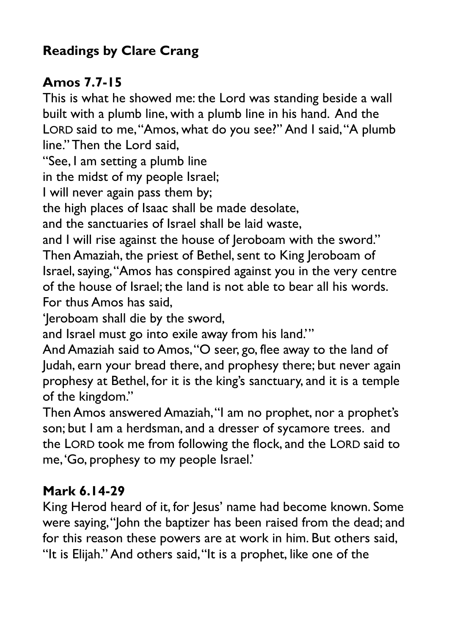# **Readings by Clare Crang**

# **Amos 7.7-15**

This is what he showed me: the Lord was standing beside a wall built with a plumb line, with a plumb line in his hand. And the LORD said to me, "Amos, what do you see?" And I said, "A plumb line." Then the Lord said,

"See, I am setting a plumb line

in the midst of my people Israel;

I will never again pass them by;

the high places of Isaac shall be made desolate,

and the sanctuaries of Israel shall be laid waste,

and I will rise against the house of Jeroboam with the sword." Then Amaziah, the priest of Bethel, sent to King Jeroboam of Israel, saying, "Amos has conspired against you in the very centre of the house of Israel; the land is not able to bear all his words. For thus Amos has said,

'Jeroboam shall die by the sword,

and Israel must go into exile away from his land.'"

And Amaziah said to Amos, "O seer, go, flee away to the land of Judah, earn your bread there, and prophesy there; but never again prophesy at Bethel, for it is the king's sanctuary, and it is a temple of the kingdom."

Then Amos answered Amaziah, "I am no prophet, nor a prophet's son; but I am a herdsman, and a dresser of sycamore trees. and the LORD took me from following the flock, and the LORD said to me, 'Go, prophesy to my people Israel.'

## **Mark 6.14-29**

King Herod heard of it, for Jesus' name had become known. Some were saying, "John the baptizer has been raised from the dead; and for this reason these powers are at work in him. But others said, "It is Elijah." And others said, "It is a prophet, like one of the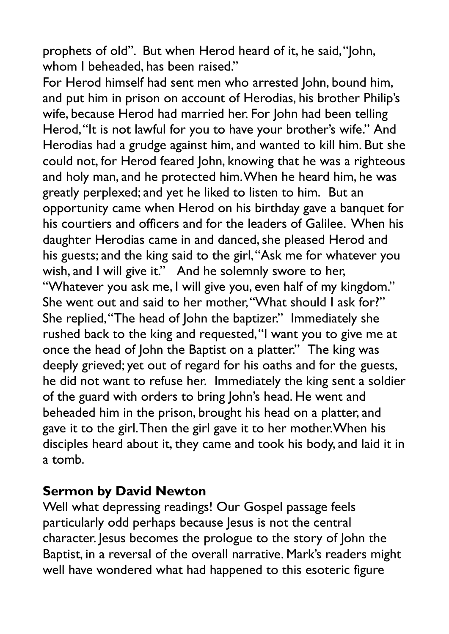prophets of old". But when Herod heard of it, he said, "John, whom I beheaded, has been raised."

For Herod himself had sent men who arrested John, bound him, and put him in prison on account of Herodias, his brother Philip's wife, because Herod had married her. For John had been telling Herod, "It is not lawful for you to have your brother's wife." And Herodias had a grudge against him, and wanted to kill him. But she could not, for Herod feared John, knowing that he was a righteous and holy man, and he protected him. When he heard him, he was greatly perplexed; and yet he liked to listen to him.But an opportunity came when Herod on his birthday gave a banquet for his courtiers and officers and for the leaders of Galilee. When his daughter Herodias came in and danced, she pleased Herod and his guests; and the king said to the girl, "Ask me for whatever you wish, and I will give it." And he solemnly swore to her, "Whatever you ask me, I will give you, even half of my kingdom." She went out and said to her mother, "What should I ask for?" She replied, "The head of John the baptizer."Immediately she rushed back to the king and requested, "I want you to give me at once the head of John the Baptist on a platter."The king was deeply grieved; yet out of regard for his oaths and for the guests, he did not want to refuse her.Immediately the king sent a soldier of the guard with orders to bring John's head. He went and beheaded him in the prison, brought his head on a platter, and gave it to the girl. Then the girl gave it to her mother.When his disciples heard about it, they came and took his body, and laid it in a tomb.

#### **Sermon by David Newton**

Well what depressing readings! Our Gospel passage feels particularly odd perhaps because Jesus is not the central character. Jesus becomes the prologue to the story of John the Baptist, in a reversal of the overall narrative. Mark's readers might well have wondered what had happened to this esoteric figure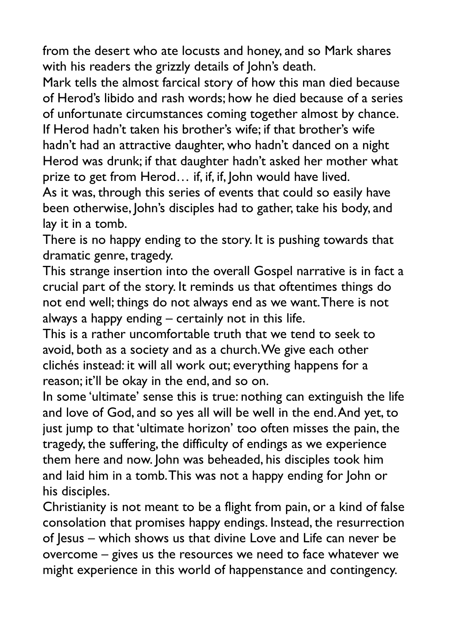from the desert who ate locusts and honey, and so Mark shares with his readers the grizzly details of John's death.

Mark tells the almost farcical story of how this man died because of Herod's libido and rash words; how he died because of a series of unfortunate circumstances coming together almost by chance. If Herod hadn't taken his brother's wife; if that brother's wife hadn't had an attractive daughter, who hadn't danced on a night Herod was drunk; if that daughter hadn't asked her mother what prize to get from Herod… if, if, if, John would have lived.

As it was, through this series of events that could so easily have been otherwise, John's disciples had to gather, take his body, and lay it in a tomb.

There is no happy ending to the story. It is pushing towards that dramatic genre, tragedy.

This strange insertion into the overall Gospel narrative is in fact a crucial part of the story. It reminds us that oftentimes things do not end well; things do not always end as we want. There is not always a happy ending – certainly not in this life.

This is a rather uncomfortable truth that we tend to seek to avoid, both as a society and as a church. We give each other clichés instead: it will all work out; everything happens for a reason; it'll be okay in the end, and so on.

In some 'ultimate' sense this is true: nothing can extinguish the life and love of God, and so yes all will be well in the end. And yet, to just jump to that 'ultimate horizon' too often misses the pain, the tragedy, the suffering, the difficulty of endings as we experience them here and now. John was beheaded, his disciples took him and laid him in a tomb. This was not a happy ending for John or his disciples.

Christianity is not meant to be a flight from pain, or a kind of false consolation that promises happy endings. Instead, the resurrection of Jesus – which shows us that divine Love and Life can never be overcome – gives us the resources we need to face whatever we might experience in this world of happenstance and contingency.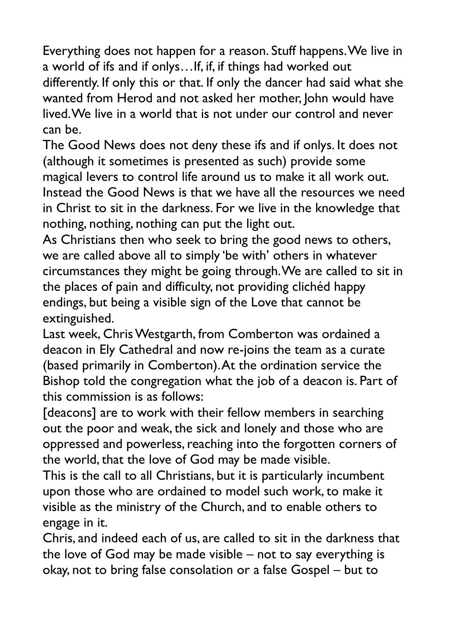Everything does not happen for a reason. Stuff happens. We live in a world of ifs and if onlys…If, if, if things had worked out differently. If only this or that. If only the dancer had said what she wanted from Herod and not asked her mother, John would have lived. We live in a world that is not under our control and never can be.

The Good News does not deny these ifs and if onlys. It does not (although it sometimes is presented as such) provide some magical levers to control life around us to make it all work out. Instead the Good News is that we have all the resources we need in Christ to sit in the darkness. For we live in the knowledge that nothing, nothing, nothing can put the light out.

As Christians then who seek to bring the good news to others, we are called above all to simply 'be with' others in whatever circumstances they might be going through. We are called to sit in the places of pain and difficulty, not providing clichéd happy endings, but being a visible sign of the Love that cannot be extinguished.

Last week, Chris Westgarth, from Comberton was ordained a deacon in Ely Cathedral and now re-joins the team as a curate (based primarily in Comberton). At the ordination service the Bishop told the congregation what the job of a deacon is. Part of this commission is as follows:

[deacons] are to work with their fellow members in searching out the poor and weak, the sick and lonely and those who are oppressed and powerless, reaching into the forgotten corners of the world, that the love of God may be made visible.

This is the call to all Christians, but it is particularly incumbent upon those who are ordained to model such work, to make it visible as the ministry of the Church, and to enable others to engage in it.

Chris, and indeed each of us, are called to sit in the darkness that the love of God may be made visible – not to say everything is okay, not to bring false consolation or a false Gospel – but to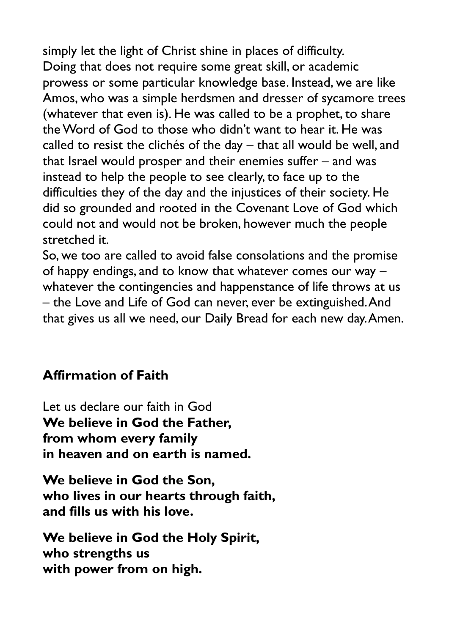simply let the light of Christ shine in places of difficulty. Doing that does not require some great skill, or academic prowess or some particular knowledge base. Instead, we are like Amos, who was a simple herdsmen and dresser of sycamore trees (whatever that even is). He was called to be a prophet, to share the Word of God to those who didn't want to hear it. He was called to resist the clichés of the day – that all would be well, and that Israel would prosper and their enemies suffer – and was instead to help the people to see clearly, to face up to the difficulties they of the day and the injustices of their society. He did so grounded and rooted in the Covenant Love of God which could not and would not be broken, however much the people stretched it.

So, we too are called to avoid false consolations and the promise of happy endings, and to know that whatever comes our way – whatever the contingencies and happenstance of life throws at us – the Love and Life of God can never, ever be extinguished. And that gives us all we need, our Daily Bread for each new day. Amen.

## **Affirmation of Faith**

Let us declare our faith in God **We believe in God the Father, from whom every family in heaven and on earth is named.**

**We believe in God the Son, who lives in our hearts through faith, and fills us with his love.**

**We believe in God the Holy Spirit, who strengths us with power from on high.**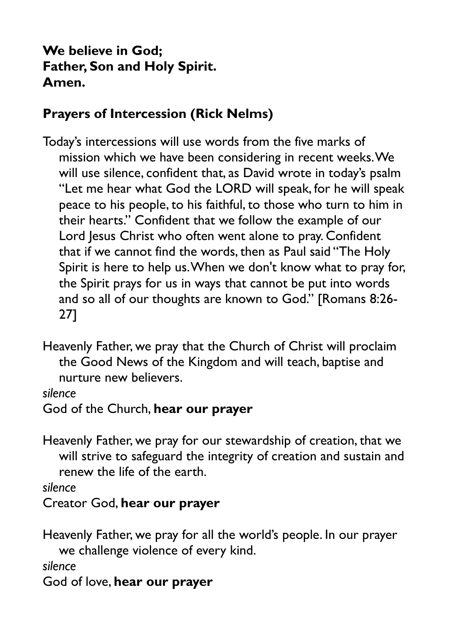## **We believe in God; Father, Son and Holy Spirit. Amen.**

## **Prayers of Intercession (Rick Nelms)**

- Today's intercessions will use words from the five marks of mission which we have been considering in recent weeks. We will use silence, confident that, as David wrote in today's psalm "Let me hear what God the LORD will speak, for he will speak peace to his people, to his faithful, to those who turn to him in their hearts." Confident that we follow the example of our Lord Jesus Christ who often went alone to pray. Confident that if we cannot find the words, then as Paul said "The Holy Spirit is here to help us. When we don't know what to pray for, the Spirit prays for us in ways that cannot be put into words and so all of our thoughts are known to God." [Romans 8:26- 27]
- Heavenly Father, we pray that the Church of Christ will proclaim the Good News of the Kingdom and will teach, baptise and nurture new believers.

*silence*

God of the Church, **hear our prayer**

Heavenly Father, we pray for our stewardship of creation, that we will strive to safeguard the integrity of creation and sustain and renew the life of the earth.

*silence*

Creator God, **hear our prayer**

Heavenly Father, we pray for all the world's people. In our prayer we challenge violence of every kind. *silence*

God of love, **hear our prayer**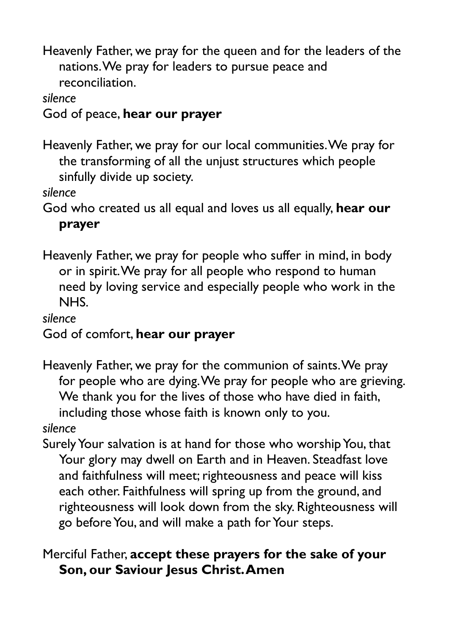Heavenly Father, we pray for the queen and for the leaders of the nations.We pray for leaders to pursue peace and reconciliation.

*silence*

## God of peace, **hear our prayer**

Heavenly Father, we pray for our local communities. We pray for the transforming of all the unjust structures which people sinfully divide up society.

*silence*

God who created us all equal and loves us all equally, **hear our prayer**

Heavenly Father, we pray for people who suffer in mind, in body or in spirit. We pray for all people who respond to human need by loving service and especially people who work in the NHS.

*silence*

God of comfort, **hear our prayer**

Heavenly Father, we pray for the communion of saints. We pray for people who are dying. We pray for people who are grieving. We thank you for the lives of those who have died in faith, including those whose faith is known only to you.

*silence*

Surely Your salvation is at hand for those who worship You, that Your glory may dwell on Earth and in Heaven. Steadfast love and faithfulness will meet; righteousness and peace will kiss each other. Faithfulness will spring up from the ground, and righteousness will look down from the sky. Righteousness will go before You, and will make a path for Your steps.

# Merciful Father, **accept these prayers for the sake of your Son, our Saviour Jesus Christ. Amen**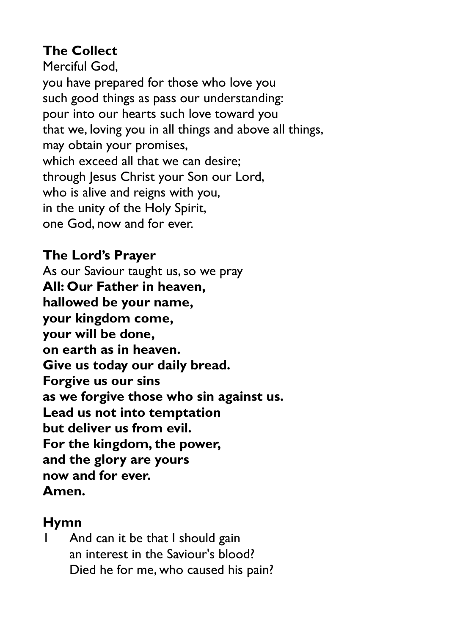# **The Collect**

Merciful God, you have prepared for those who love you such good things as pass our understanding: pour into our hearts such love toward you that we, loving you in all things and above all things, may obtain your promises, which exceed all that we can desire: through Jesus Christ your Son our Lord, who is alive and reigns with you, in the unity of the Holy Spirit, one God, now and for ever.

## **The Lord's Prayer**

As our Saviour taught us, so we pray **All: Our Father in heaven, hallowed be your name, your kingdom come, your will be done, on earth as in heaven. Give us today our daily bread. Forgive us our sins as we forgive those who sin against us. Lead us not into temptation but deliver us from evil. For the kingdom, the power, and the glory are yours now and for ever. Amen.**

#### **Hymn**

1 And can it be that I should gain an interest in the Saviour's blood? Died he for me, who caused his pain?